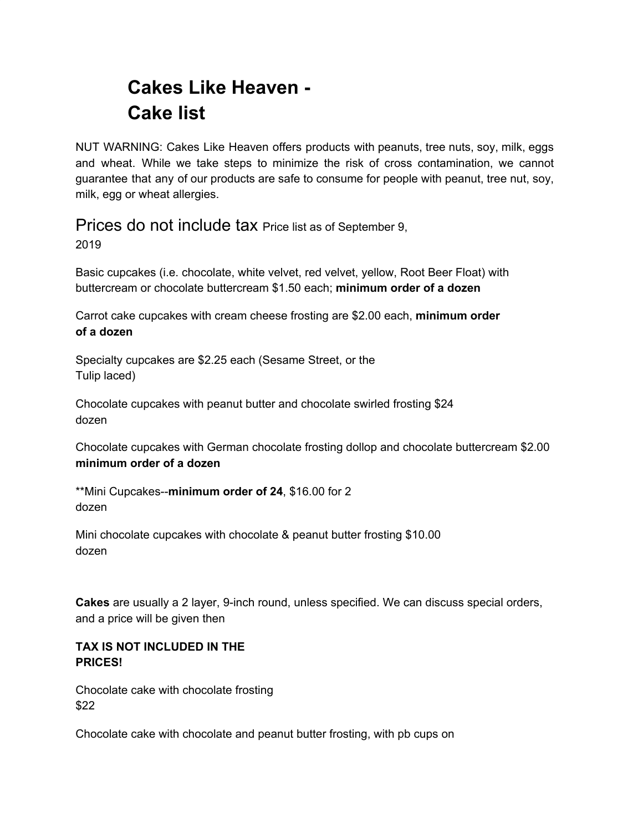# **Cakes Like Heaven - Cake list**

NUT WARNING: Cakes Like Heaven offers products with peanuts, tree nuts, soy, milk, eggs and wheat. While we take steps to minimize the risk of cross contamination, we cannot guarantee that any of our products are safe to consume for people with peanut, tree nut, soy, milk, egg or wheat allergies.

## Prices do not include tax Price list as of September 9.

2019

Basic cupcakes (i.e. chocolate, white velvet, red velvet, yellow, Root Beer Float) with buttercream or chocolate buttercream \$1.50 each; **minimum order of a dozen**

Carrot cake cupcakes with cream cheese frosting are \$2.00 each, **minimum order of a dozen**

Specialty cupcakes are \$2.25 each (Sesame Street, or the Tulip laced)

Chocolate cupcakes with peanut butter and chocolate swirled frosting \$24 dozen

Chocolate cupcakes with German chocolate frosting dollop and chocolate buttercream \$2.00 **minimum order of a dozen**

\*\*Mini Cupcakes--**minimum order of 24**, \$16.00 for 2 dozen

Mini chocolate cupcakes with chocolate & peanut butter frosting \$10.00 dozen

**Cakes** are usually a 2 layer, 9-inch round, unless specified. We can discuss special orders, and a price will be given then

## **TAX IS NOT INCLUDED IN THE PRICES!**

Chocolate cake with chocolate frosting \$22

Chocolate cake with chocolate and peanut butter frosting, with pb cups on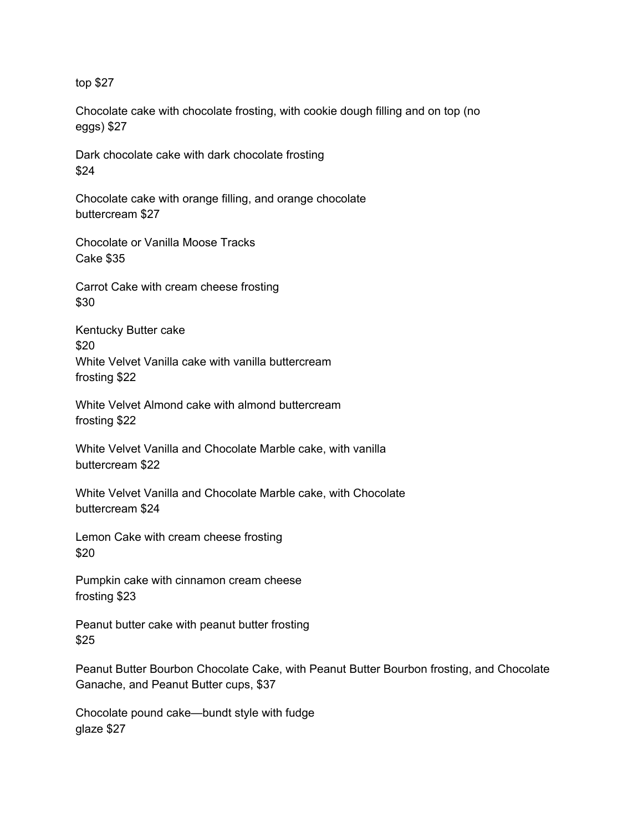top \$27

Chocolate cake with chocolate frosting, with cookie dough filling and on top (no eggs) \$27

Dark chocolate cake with dark chocolate frosting \$24

Chocolate cake with orange filling, and orange chocolate buttercream \$27

Chocolate or Vanilla Moose Tracks Cake \$35

Carrot Cake with cream cheese frosting \$30

Kentucky Butter cake \$20 White Velvet Vanilla cake with vanilla buttercream frosting \$22

White Velvet Almond cake with almond buttercream frosting \$22

White Velvet Vanilla and Chocolate Marble cake, with vanilla buttercream \$22

White Velvet Vanilla and Chocolate Marble cake, with Chocolate buttercream \$24

Lemon Cake with cream cheese frosting \$20

Pumpkin cake with cinnamon cream cheese frosting \$23

Peanut butter cake with peanut butter frosting \$25

Peanut Butter Bourbon Chocolate Cake, with Peanut Butter Bourbon frosting, and Chocolate Ganache, and Peanut Butter cups, \$37

Chocolate pound cake—bundt style with fudge glaze \$27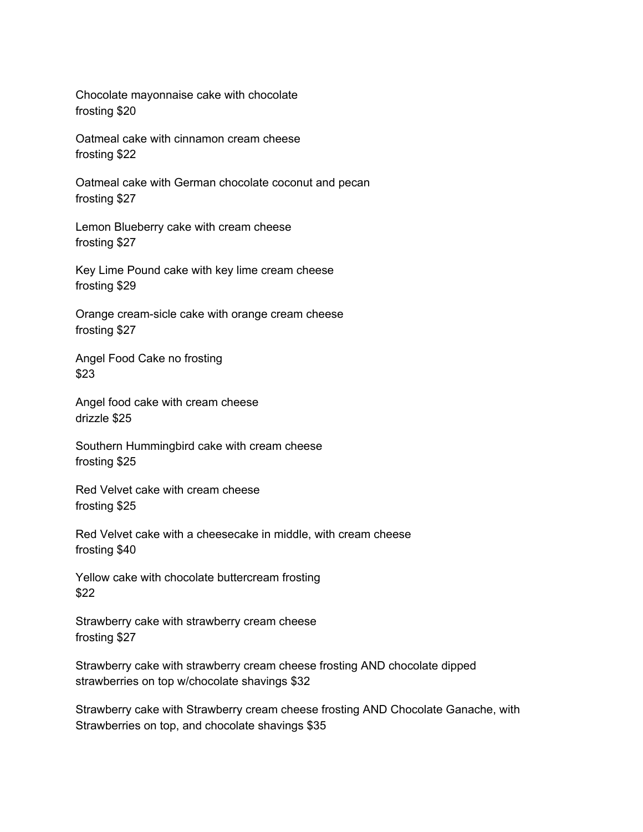Chocolate mayonnaise cake with chocolate frosting \$20

Oatmeal cake with cinnamon cream cheese frosting \$22

Oatmeal cake with German chocolate coconut and pecan frosting \$27

Lemon Blueberry cake with cream cheese frosting \$27

Key Lime Pound cake with key lime cream cheese frosting \$29

Orange cream-sicle cake with orange cream cheese frosting \$27

Angel Food Cake no frosting \$23

Angel food cake with cream cheese drizzle \$25

Southern Hummingbird cake with cream cheese frosting \$25

Red Velvet cake with cream cheese frosting \$25

Red Velvet cake with a cheesecake in middle, with cream cheese frosting \$40

Yellow cake with chocolate buttercream frosting \$22

Strawberry cake with strawberry cream cheese frosting \$27

Strawberry cake with strawberry cream cheese frosting AND chocolate dipped strawberries on top w/chocolate shavings \$32

Strawberry cake with Strawberry cream cheese frosting AND Chocolate Ganache, with Strawberries on top, and chocolate shavings \$35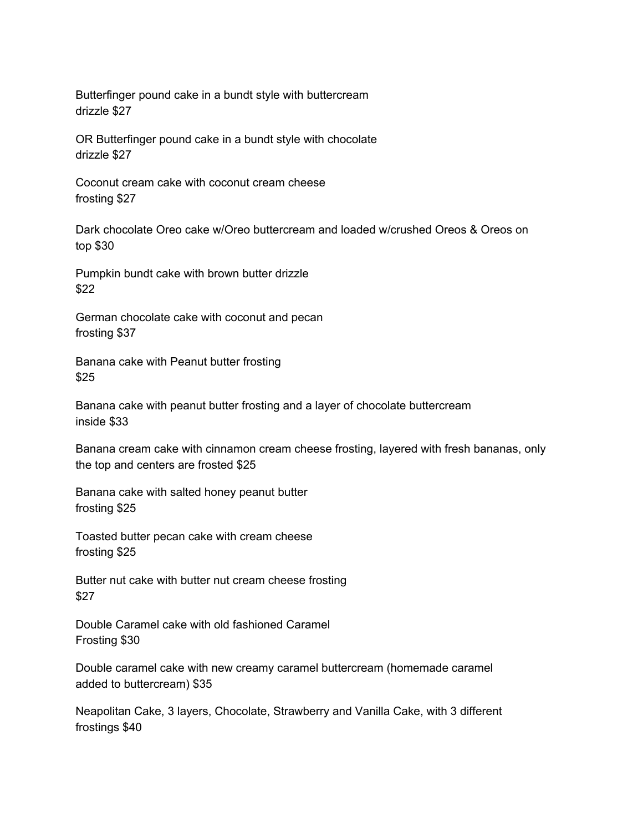Butterfinger pound cake in a bundt style with buttercream drizzle \$27

OR Butterfinger pound cake in a bundt style with chocolate drizzle \$27

Coconut cream cake with coconut cream cheese frosting \$27

Dark chocolate Oreo cake w/Oreo buttercream and loaded w/crushed Oreos & Oreos on top \$30

Pumpkin bundt cake with brown butter drizzle \$22

German chocolate cake with coconut and pecan frosting \$37

Banana cake with Peanut butter frosting \$25

Banana cake with peanut butter frosting and a layer of chocolate buttercream inside \$33

Banana cream cake with cinnamon cream cheese frosting, layered with fresh bananas, only the top and centers are frosted \$25

Banana cake with salted honey peanut butter frosting \$25

Toasted butter pecan cake with cream cheese frosting \$25

Butter nut cake with butter nut cream cheese frosting \$27

Double Caramel cake with old fashioned Caramel Frosting \$30

Double caramel cake with new creamy caramel buttercream (homemade caramel added to buttercream) \$35

Neapolitan Cake, 3 layers, Chocolate, Strawberry and Vanilla Cake, with 3 different frostings \$40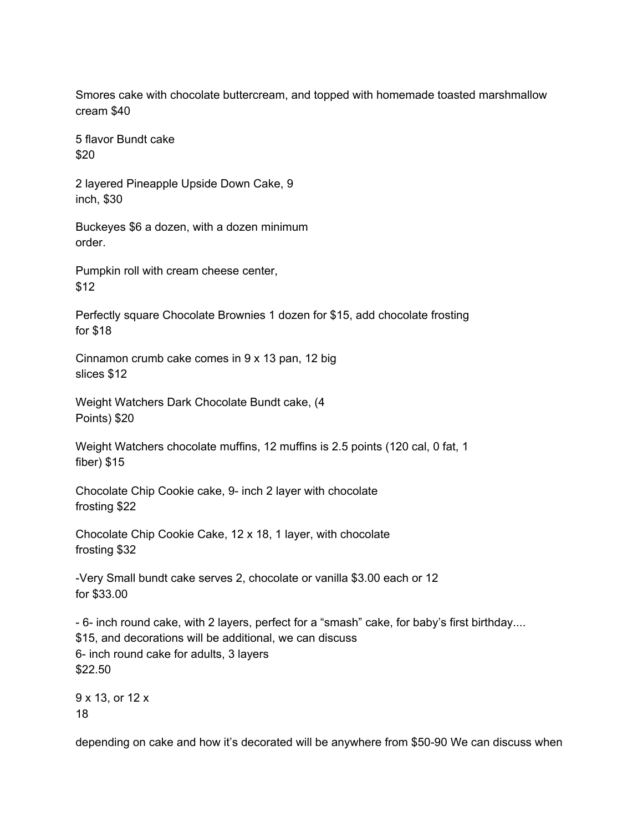Smores cake with chocolate buttercream, and topped with homemade toasted marshmallow cream \$40

5 flavor Bundt cake \$20

2 layered Pineapple Upside Down Cake, 9 inch, \$30

Buckeyes \$6 a dozen, with a dozen minimum order.

Pumpkin roll with cream cheese center, \$12

Perfectly square Chocolate Brownies 1 dozen for \$15, add chocolate frosting for \$18

Cinnamon crumb cake comes in 9 x 13 pan, 12 big slices \$12

Weight Watchers Dark Chocolate Bundt cake, (4 Points) \$20

Weight Watchers chocolate muffins, 12 muffins is 2.5 points (120 cal, 0 fat, 1 fiber) \$15

Chocolate Chip Cookie cake, 9- inch 2 layer with chocolate frosting \$22

Chocolate Chip Cookie Cake, 12 x 18, 1 layer, with chocolate frosting \$32

-Very Small bundt cake serves 2, chocolate or vanilla \$3.00 each or 12 for \$33.00

- 6- inch round cake, with 2 layers, perfect for a "smash" cake, for baby's first birthday.... \$15, and decorations will be additional, we can discuss 6- inch round cake for adults, 3 layers \$22.50

9 x 13, or 12 x 18

depending on cake and how it's decorated will be anywhere from \$50-90 We can discuss when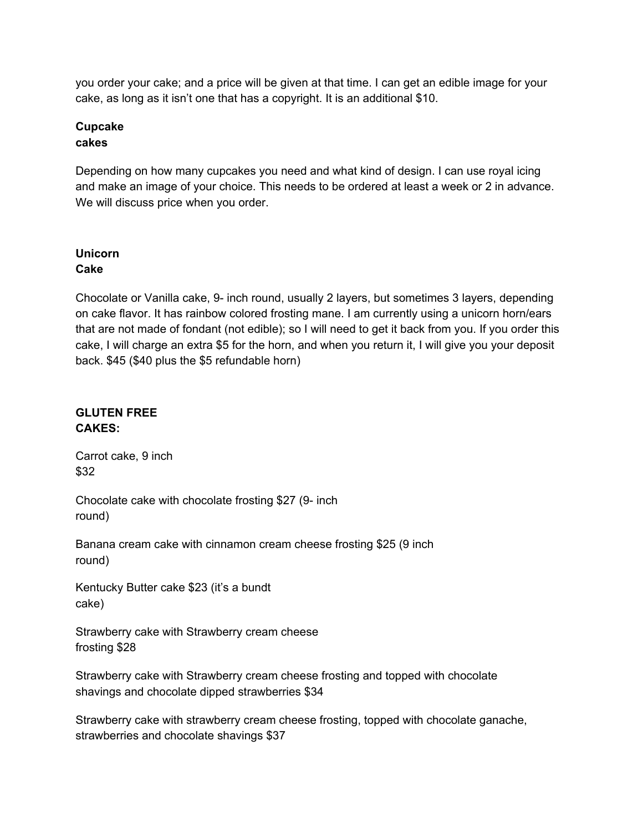you order your cake; and a price will be given at that time. I can get an edible image for your cake, as long as it isn't one that has a copyright. It is an additional \$10.

#### **Cupcake cakes**

Depending on how many cupcakes you need and what kind of design. I can use royal icing and make an image of your choice. This needs to be ordered at least a week or 2 in advance. We will discuss price when you order.

## **Unicorn Cake**

Chocolate or Vanilla cake, 9- inch round, usually 2 layers, but sometimes 3 layers, depending on cake flavor. It has rainbow colored frosting mane. I am currently using a unicorn horn/ears that are not made of fondant (not edible); so I will need to get it back from you. If you order this cake, I will charge an extra \$5 for the horn, and when you return it, I will give you your deposit back. \$45 (\$40 plus the \$5 refundable horn)

## **GLUTEN FREE CAKES:**

Carrot cake, 9 inch \$32

Chocolate cake with chocolate frosting \$27 (9- inch round)

Banana cream cake with cinnamon cream cheese frosting \$25 (9 inch round)

Kentucky Butter cake \$23 (it's a bundt cake)

Strawberry cake with Strawberry cream cheese frosting \$28

Strawberry cake with Strawberry cream cheese frosting and topped with chocolate shavings and chocolate dipped strawberries \$34

Strawberry cake with strawberry cream cheese frosting, topped with chocolate ganache, strawberries and chocolate shavings \$37